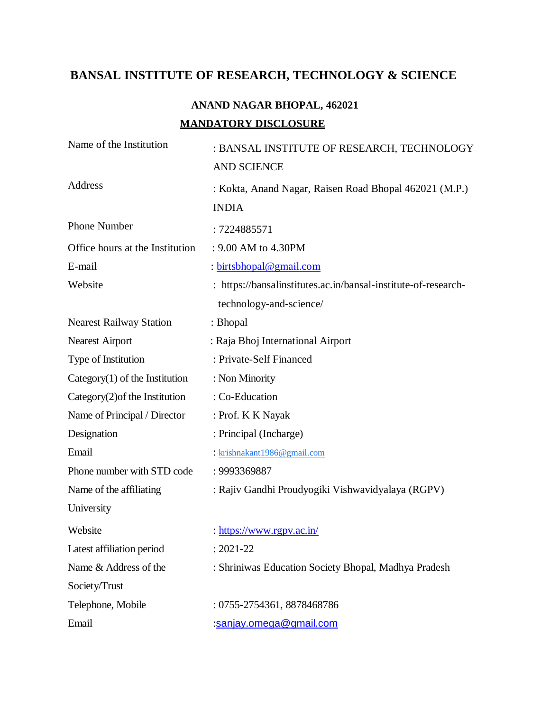# **BANSAL INSTITUTE OF RESEARCH, TECHNOLOGY & SCIENCE**

# **ANAND NAGAR BHOPAL, 462021 MANDATORY DISCLOSURE**

| Name of the Institution           | : BANSAL INSTITUTE OF RESEARCH, TECHNOLOGY                     |
|-----------------------------------|----------------------------------------------------------------|
|                                   | <b>AND SCIENCE</b>                                             |
| Address                           | : Kokta, Anand Nagar, Raisen Road Bhopal 462021 (M.P.)         |
|                                   | <b>INDIA</b>                                                   |
| <b>Phone Number</b>               | : 7224885571                                                   |
| Office hours at the Institution   | : 9.00 AM to 4.30PM                                            |
| E-mail                            | : birtsbhopal@gmail.com                                        |
| Website                           | : https://bansalinstitutes.ac.in/bansal-institute-of-research- |
|                                   | technology-and-science/                                        |
| <b>Nearest Railway Station</b>    | : Bhopal                                                       |
| <b>Nearest Airport</b>            | : Raja Bhoj International Airport                              |
| Type of Institution               | : Private-Self Financed                                        |
| Category $(1)$ of the Institution | : Non Minority                                                 |
| Category $(2)$ of the Institution | : Co-Education                                                 |
| Name of Principal / Director      | : Prof. K K Nayak                                              |
| Designation                       | : Principal (Incharge)                                         |
| Email                             | : krishnakant1986@gmail.com                                    |
| Phone number with STD code        | : 9993369887                                                   |
| Name of the affiliating           | : Rajiv Gandhi Proudyogiki Vishwavidyalaya (RGPV)              |
| University                        |                                                                |
| Website                           | : https://www.rgpv.ac.in/                                      |
| Latest affiliation period         | $: 2021 - 22$                                                  |
| Name & Address of the             | : Shriniwas Education Society Bhopal, Madhya Pradesh           |
| Society/Trust                     |                                                                |
| Telephone, Mobile                 | : 0755-2754361, 8878468786                                     |
| Email                             | :sanjay.omega@gmail.com                                        |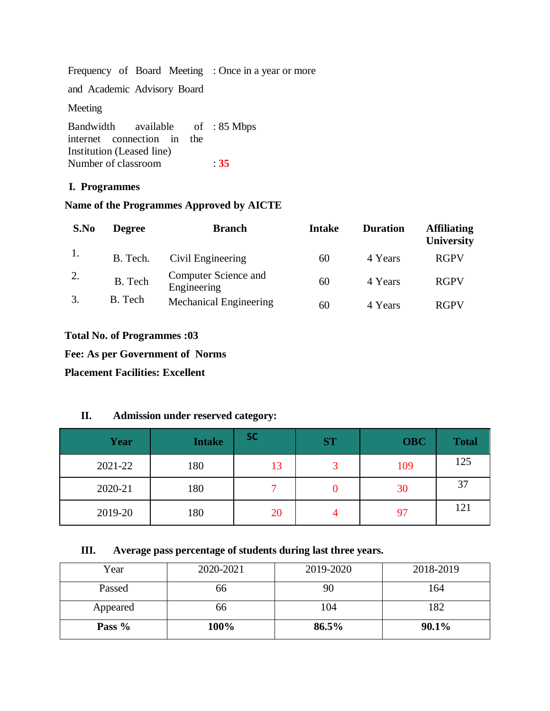Frequency of Board Meeting : Once in a year or more and Academic Advisory Board Meeting Bandwidth available internet connection in the Institution (Leased line) : 85 Mbps Number of classroom : **35**

### **I. Programmes**

### **Name of the Programmes Approved by AICTE**

| S.No | <b>Degree</b> | <b>Branch</b>                       | <b>Intake</b> | <b>Duration</b> | <b>Affiliating</b><br><b>University</b> |
|------|---------------|-------------------------------------|---------------|-----------------|-----------------------------------------|
|      | B. Tech.      | Civil Engineering                   | 60            | 4 Years         | <b>RGPV</b>                             |
| 2.   | B. Tech       | Computer Science and<br>Engineering | 60            | 4 Years         | <b>RGPV</b>                             |
| 3.   | B. Tech       | <b>Mechanical Engineering</b>       | 60            | 4 Years         | <b>RGPV</b>                             |

#### **Total No. of Programmes :03**

**Fee: As per Government of Norms**

**Placement Facilities: Excellent**

#### **II. Admission under reserved category:**

| Year    | <b>Intake</b> | <b>SC</b> | <b>ST</b>      | <b>OBC</b> | <b>Total</b> |
|---------|---------------|-----------|----------------|------------|--------------|
| 2021-22 | 180           | 13        |                | 109        | 125          |
| 2020-21 | 180           |           |                | 30         | 37           |
| 2019-20 | 180           | 20        | $\overline{4}$ | 97         | 121          |

### **III. Average pass percentage of students during last three years.**

| Year     | 2020-2021 | 2019-2020 | 2018-2019 |
|----------|-----------|-----------|-----------|
| Passed   | 66        | 90        | 164       |
| Appeared | 66        | 104       | 182       |
| Pass %   | 100%      | 86.5%     | 90.1%     |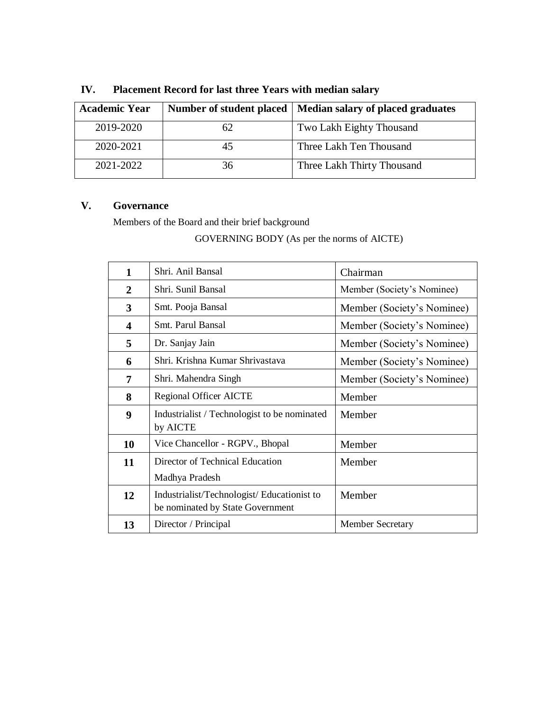| <b>Academic Year</b> |    | Number of student placed   Median salary of placed graduates |
|----------------------|----|--------------------------------------------------------------|
| 2019-2020            | 62 | Two Lakh Eighty Thousand                                     |
| 2020-2021            | 45 | Three Lakh Ten Thousand                                      |
| 2021-2022            | 36 | Three Lakh Thirty Thousand                                   |

**IV. Placement Record for last three Years with median salary**

### **V. Governance**

Members of the Board and their brief background

GOVERNING BODY (As per the norms of AICTE)

| $\mathbf{1}$   | Shri. Anil Bansal                                                               | Chairman                   |
|----------------|---------------------------------------------------------------------------------|----------------------------|
| $\overline{2}$ | Shri. Sunil Bansal                                                              | Member (Society's Nominee) |
| 3              | Smt. Pooja Bansal                                                               | Member (Society's Nominee) |
| 4              | Smt. Parul Bansal                                                               | Member (Society's Nominee) |
| 5              | Dr. Sanjay Jain                                                                 | Member (Society's Nominee) |
| 6              | Shri. Krishna Kumar Shrivastava                                                 | Member (Society's Nominee) |
| 7              | Shri. Mahendra Singh                                                            | Member (Society's Nominee) |
| 8              | <b>Regional Officer AICTE</b>                                                   | Member                     |
| 9              | Industrialist / Technologist to be nominated<br>by AICTE                        | Member                     |
| 10             | Vice Chancellor - RGPV., Bhopal                                                 | Member                     |
| 11             | Director of Technical Education<br>Madhya Pradesh                               | Member                     |
| 12             | Industrialist/Technologist/ Educationist to<br>be nominated by State Government | Member                     |
| 13             | Director / Principal                                                            | <b>Member Secretary</b>    |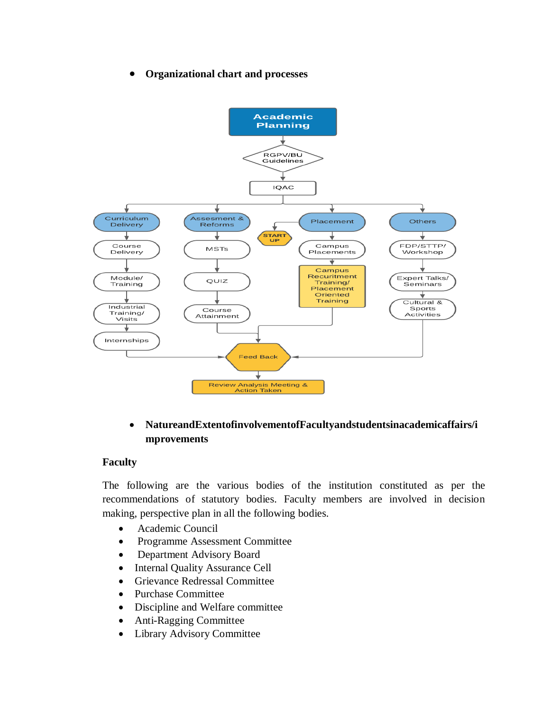**Organizational chart and processes**



# **NatureandExtentofinvolvementofFacultyandstudentsinacademicaffairs/i mprovements**

### **Faculty**

The following are the various bodies of the institution constituted as per the recommendations of statutory bodies. Faculty members are involved in decision making, perspective plan in all the following bodies.

- Academic Council
- Programme Assessment Committee
- Department Advisory Board
- Internal Quality Assurance Cell
- Grievance Redressal Committee
- Purchase Committee
- Discipline and Welfare committee
- Anti-Ragging Committee
- Library Advisory Committee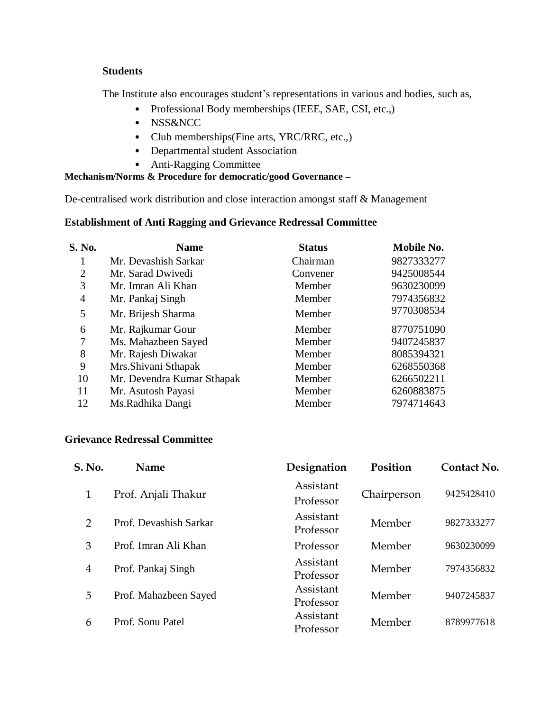#### **Students**

The Institute also encourages student's representations in various and bodies, such as,

- Professional Body memberships (IEEE, SAE, CSI, etc.,)
- NSS&NCC
- Club memberships(Fine arts, YRC/RRC, etc.,)
- Departmental student Association
- Anti-Ragging Committee

#### **Mechanism/Norms & Procedure for democratic/good Governance –**

De-centralised work distribution and close interaction amongst staff & Management

### **Establishment of Anti Ragging and Grievance Redressal Committee**

| S. No.         | <b>Name</b>                | <b>Status</b> | Mobile No. |
|----------------|----------------------------|---------------|------------|
|                | Mr. Devashish Sarkar       | Chairman      | 9827333277 |
| 2              | Mr. Sarad Dwivedi          | Convener      | 9425008544 |
| 3              | Mr. Imran Ali Khan         | Member        | 9630230099 |
| $\overline{4}$ | Mr. Pankaj Singh           | Member        | 7974356832 |
| 5              | Mr. Brijesh Sharma         | Member        | 9770308534 |
| 6              | Mr. Rajkumar Gour          | Member        | 8770751090 |
| 7              | Ms. Mahazbeen Sayed        | Member        | 9407245837 |
| 8              | Mr. Rajesh Diwakar         | Member        | 8085394321 |
| 9              | Mrs. Shivani Sthapak       | Member        | 6268550368 |
| 10             | Mr. Devendra Kumar Sthapak | Member        | 6266502211 |
| 11             | Mr. Asutosh Payasi         | Member        | 6260883875 |
| 12             | Ms. Radhika Dangi          | Member        | 7974714643 |

#### **Grievance Redressal Committee**

| <b>S. No.</b>  | Name                   | Designation            | Position    | Contact No. |
|----------------|------------------------|------------------------|-------------|-------------|
|                |                        | Assistant              |             |             |
| 1              | Prof. Anjali Thakur    | Professor              | Chairperson | 9425428410  |
| $\overline{2}$ | Prof. Devashish Sarkar | Assistant<br>Professor | Member      | 9827333277  |
| 3              | Prof. Imran Ali Khan   | Professor              | Member      | 9630230099  |
| $\overline{4}$ | Prof. Pankaj Singh     | Assistant<br>Professor | Member      | 7974356832  |
| 5              | Prof. Mahazbeen Sayed  | Assistant<br>Professor | Member      | 9407245837  |
| 6              | Prof. Sonu Patel       | Assistant<br>Professor | Member      | 8789977618  |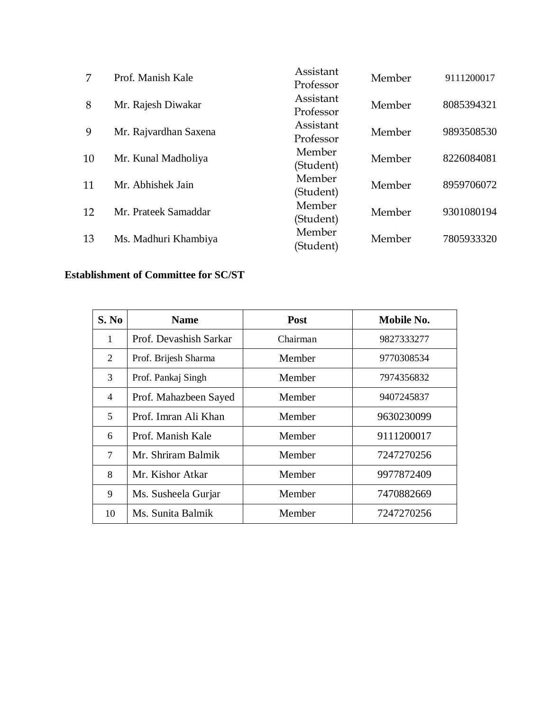| 7  | Prof. Manish Kale     | Assistant<br>Professor | Member | 9111200017 |
|----|-----------------------|------------------------|--------|------------|
| 8  | Mr. Rajesh Diwakar    | Assistant<br>Professor | Member | 8085394321 |
| 9  | Mr. Rajvardhan Saxena | Assistant<br>Professor | Member | 9893508530 |
| 10 | Mr. Kunal Madholiya   | Member<br>(Student)    | Member | 8226084081 |
| 11 | Mr. Abhishek Jain     | Member<br>(Student)    | Member | 8959706072 |
| 12 | Mr. Prateek Samaddar  | Member<br>(Student)    | Member | 9301080194 |
| 13 | Ms. Madhuri Khambiya  | Member<br>(Student)    | Member | 7805933320 |
|    |                       |                        |        |            |

## **Establishment of Committee for SC/ST**

| S. No | <b>Name</b>            | <b>Post</b> | Mobile No. |
|-------|------------------------|-------------|------------|
| 1     | Prof. Devashish Sarkar | Chairman    | 9827333277 |
| 2     | Prof. Brijesh Sharma   | Member      | 9770308534 |
| 3     | Prof. Pankaj Singh     | Member      | 7974356832 |
| 4     | Prof. Mahazbeen Sayed  | Member      | 9407245837 |
| 5     | Prof. Imran Ali Khan   | Member      | 9630230099 |
| 6     | Prof. Manish Kale      | Member      | 9111200017 |
| 7     | Mr. Shriram Balmik     | Member      | 7247270256 |
| 8     | Mr. Kishor Atkar       | Member      | 9977872409 |
| 9     | Ms. Susheela Gurjar    | Member      | 7470882669 |
| 10    | Ms. Sunita Balmik      | Member      | 7247270256 |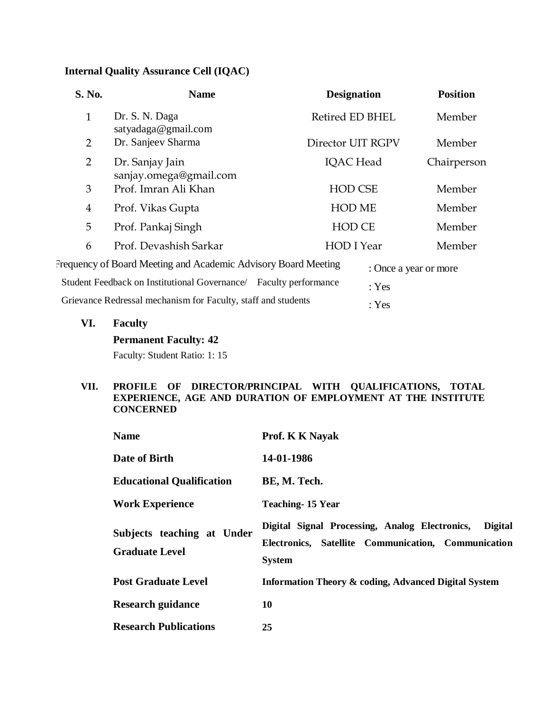# **Internal Quality Assurance Cell (IQAC)**

| <b>S. No.</b>                                                              | <b>Name</b>                                                    | <b>Designation</b> | <b>Position</b>       |
|----------------------------------------------------------------------------|----------------------------------------------------------------|--------------------|-----------------------|
| $\mathbf{1}$                                                               | Dr. S. N. Daga<br>satyadaga@gmail.com                          | Retired ED BHEL    | Member                |
| 2                                                                          | Dr. Sanjeev Sharma                                             | Director UIT RGPV  | Member                |
| 2                                                                          | Dr. Sanjay Jain<br>sanjay.omega@gmail.com                      | <b>IQAC</b> Head   | Chairperson           |
| 3                                                                          | Prof. Imran Ali Khan                                           | <b>HOD CSE</b>     | Member                |
| $\overline{4}$                                                             | Prof. Vikas Gupta                                              | <b>HOD ME</b>      | Member                |
| 5                                                                          | Prof. Pankaj Singh                                             | <b>HOD CE</b>      | Member                |
| 6                                                                          | Prof. Devashish Sarkar                                         | HOD I Year         | Member                |
|                                                                            | Frequency of Board Meeting and Academic Advisory Board Meeting |                    | : Once a year or more |
| Student Feedback on Institutional Governance/ Faculty performance<br>: Yes |                                                                |                    |                       |
|                                                                            | Grievance Redressal mechanism for Faculty, staff and students  | : Yes              |                       |
| VI.                                                                        | <b>Faculty</b>                                                 |                    |                       |
|                                                                            |                                                                |                    |                       |

**Permanent Faculty: 42**

Faculty: Student Ratio: 1: 15

#### **VII. PROFILE OF DIRECTOR/PRINCIPAL WITH QUALIFICATIONS, TOTAL EXPERIENCE, AGE AND DURATION OF EMPLOYMENT AT THE INSTITUTE CONCERNED**

| <b>Name</b>                                         | <b>Prof. K K Nayak</b>                                                                                                                   |
|-----------------------------------------------------|------------------------------------------------------------------------------------------------------------------------------------------|
| Date of Birth                                       | 14-01-1986                                                                                                                               |
| <b>Educational Qualification</b>                    | BE, M. Tech.                                                                                                                             |
| <b>Work Experience</b>                              | <b>Teaching-15 Year</b>                                                                                                                  |
| Subjects teaching at Under<br><b>Graduate Level</b> | Digital Signal Processing, Analog Electronics,<br><b>Digital</b><br>Electronics, Satellite Communication, Communication<br><b>System</b> |
| <b>Post Graduate Level</b>                          | <b>Information Theory &amp; coding, Advanced Digital System</b>                                                                          |
| <b>Research guidance</b>                            | 10                                                                                                                                       |
| <b>Research Publications</b>                        | 25                                                                                                                                       |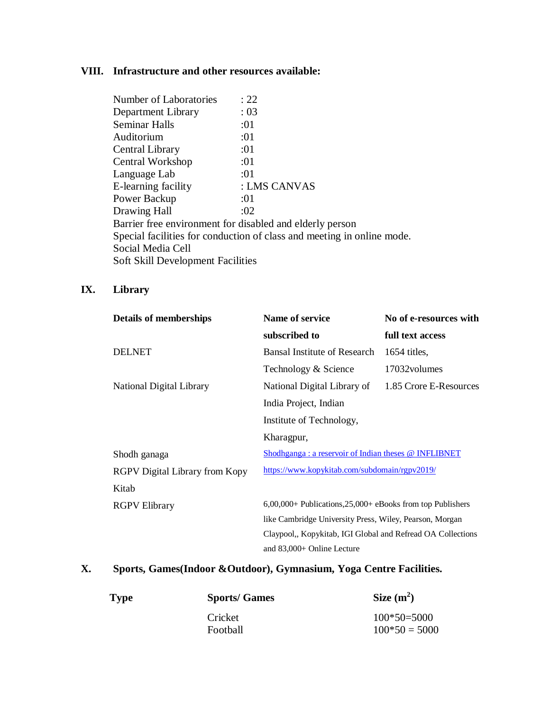# **VIII. Infrastructure and other resources available:**

| Number of Laboratories                                   | : 22                                                                   |
|----------------------------------------------------------|------------------------------------------------------------------------|
| Department Library                                       | : 03                                                                   |
| Seminar Halls                                            | :01                                                                    |
| Auditorium                                               | :01                                                                    |
| Central Library                                          | :01                                                                    |
| Central Workshop                                         | :01                                                                    |
| Language Lab                                             | :01                                                                    |
| E-learning facility                                      | : LMS CANVAS                                                           |
| Power Backup                                             | :01                                                                    |
| Drawing Hall                                             | :02                                                                    |
| Barrier free environment for disabled and elderly person |                                                                        |
|                                                          | Special facilities for conduction of class and meeting in online mode. |
| Social Media Cell                                        |                                                                        |
| Soft Skill Development Facilities                        |                                                                        |
|                                                          |                                                                        |

# **IX. Library**

| <b>Details of memberships</b>  | Name of service                                                | No of e-resources with |  |
|--------------------------------|----------------------------------------------------------------|------------------------|--|
|                                | subscribed to                                                  | full text access       |  |
| <b>DELNET</b>                  | Bansal Institute of Research                                   | 1654 titles,           |  |
|                                | Technology & Science                                           | 17032volumes           |  |
| National Digital Library       | National Digital Library of                                    | 1.85 Crore E-Resources |  |
|                                | India Project, Indian                                          |                        |  |
|                                | Institute of Technology,                                       |                        |  |
|                                | Kharagpur,                                                     |                        |  |
| Shodh ganaga                   | Shodhganga: a reservoir of Indian theses @ INFLIBNET           |                        |  |
| RGPV Digital Library from Kopy | https://www.kopykitab.com/subdomain/rgpv2019/                  |                        |  |
| Kitab                          |                                                                |                        |  |
| <b>RGPV Elibrary</b>           | $6,00,000+$ Publications, $25,000+$ eBooks from top Publishers |                        |  |
|                                | like Cambridge University Press, Wiley, Pearson, Morgan        |                        |  |
|                                | Claypool,, Kopykitab, IGI Global and Refread OA Collections    |                        |  |
|                                | and 83,000+ Online Lecture                                     |                        |  |

# **X. Sports, Games(Indoor &Outdoor), Gymnasium, Yoga Centre Facilities.**

| <b>Type</b> | <b>Sports/Games</b> | Size $(m^2)$    |
|-------------|---------------------|-----------------|
|             | Cricket             | $100*50=5000$   |
|             | Football            | $100*50 = 5000$ |